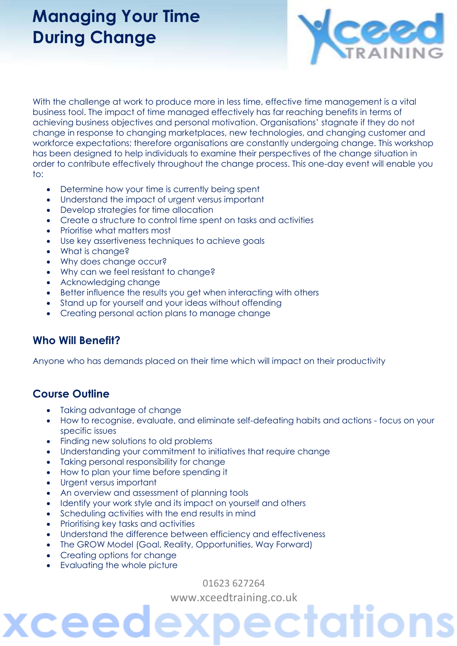## **Managing Your Time During Change**



With the challenge at work to produce more in less time, effective time management is a vital business tool. The impact of time managed effectively has far reaching benefits in terms of achieving business objectives and personal motivation. Organisations' stagnate if they do not change in response to changing marketplaces, new technologies, and changing customer and workforce expectations; therefore organisations are constantly undergoing change. This workshop has been designed to help individuals to examine their perspectives of the change situation in order to contribute effectively throughout the change process. This one-day event will enable you to:

- Determine how your time is currently being spent
- Understand the impact of urgent versus important
- Develop strategies for time allocation
- Create a structure to control time spent on tasks and activities
- Prioritise what matters most
- Use key assertiveness techniques to achieve goals
- What is change?
- Why does change occur?
- Why can we feel resistant to change?
- Acknowledging change
- Better influence the results you get when interacting with others
- Stand up for yourself and your ideas without offending
- Creating personal action plans to manage change

#### **Who Will Benefit?**

Anyone who has demands placed on their time which will impact on their productivity

#### **Course Outline**

- Taking advantage of change
- How to recognise, evaluate, and eliminate self-defeating habits and actions focus on your specific issues
- Finding new solutions to old problems
- Understanding your commitment to initiatives that require change
- Taking personal responsibility for change
- How to plan your time before spending it
- Urgent versus important
- An overview and assessment of planning tools
- Identify your work style and its impact on yourself and others
- Scheduling activities with the end results in mind
- Prioritising key tasks and activities
- Understand the difference between efficiency and effectiveness
- The GROW Model (Goal, Reality, Opportunities, Way Forward)
- Creating options for change
- Evaluating the whole picture

ceed

01623 627264

[www.xceedtraining.co.uk](http://www.xceedtraining.co.uk/)